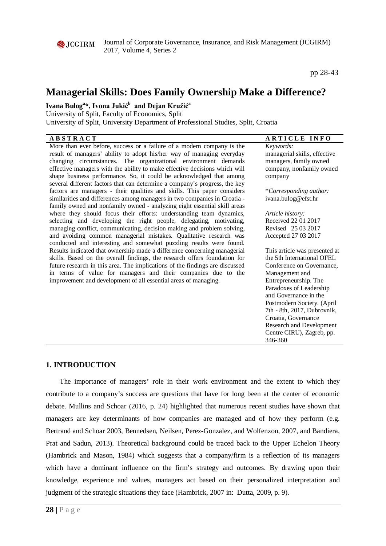

Journal of Corporate Governance, Insurance, and Risk Management (JCGIRM) 2017, Volume 4, Series 2

pp 28-43

# **Managerial Skills: Does Family Ownership Make a Difference?**

# **Ivana Bulog<sup>a</sup> \*, Ivona Jukić<sup>b</sup> and Dejan Kružić<sup>a</sup>**

University of Split, Faculty of Economics, Split

University of Split, University Department of Professional Studies, Split, Croatia

| <b>ABSTRACT</b>                                                              | <b>ARTICLE INFO</b>                              |
|------------------------------------------------------------------------------|--------------------------------------------------|
| More than ever before, success or a failure of a modern company is the       | Keywords:                                        |
| result of managers' ability to adopt his/her way of managing everyday        | managerial skills, effective                     |
| changing circumstances. The organizational environment demands               | managers, family owned                           |
| effective managers with the ability to make effective decisions which will   | company, nonfamily owned                         |
| shape business performance. So, it could be acknowledged that among          | company                                          |
| several different factors that can determine a company's progress, the key   |                                                  |
| factors are managers - their qualities and skills. This paper considers      | *Corresponding author:                           |
| similarities and differences among managers in two companies in Croatia -    | ivana.bulog@efst.hr                              |
| family owned and nonfamily owned - analyzing eight essential skill areas     |                                                  |
| where they should focus their efforts: understanding team dynamics,          | Article history:                                 |
| selecting and developing the right people, delegating, motivating,           | Received 22 01 2017                              |
| managing conflict, communicating, decision making and problem solving,       | Revised 25 03 2017                               |
| and avoiding common managerial mistakes. Qualitative research was            | Accepted 27 03 2017                              |
| conducted and interesting and somewhat puzzling results were found.          |                                                  |
| Results indicated that ownership made a difference concerning managerial     | This article was presented at                    |
| skills. Based on the overall findings, the research offers foundation for    | the 5th International OFEL                       |
| future research in this area. The implications of the findings are discussed | Conference on Governance,                        |
| in terms of value for managers and their companies due to the                | Management and                                   |
| improvement and development of all essential areas of managing.              | Entrepreneurship. The                            |
|                                                                              | Paradoxes of Leadership<br>and Governance in the |
|                                                                              | Postmodern Society. (April                       |
|                                                                              | 7th - 8th, 2017, Dubrovnik,                      |
|                                                                              | Croatia, Governance                              |
|                                                                              | Research and Development                         |
|                                                                              | Centre CIRU), Zagreb, pp.                        |
|                                                                              | 346-360                                          |
|                                                                              |                                                  |

# **1. INTRODUCTION**

The importance of managers' role in their work environment and the extent to which they contribute to a company's success are questions that have for long been at the center of economic debate. Mullins and Schoar (2016, p. 24) highlighted that numerous recent studies have shown that managers are key determinants of how companies are managed and of how they perform (e.g. Bertrand and Schoar 2003, Bennedsen, Neilsen, Perez-Gonzalez, and Wolfenzon, 2007, and Bandiera, Prat and Sadun, 2013). Theoretical background could be traced back to the Upper Echelon Theory (Hambrick and Mason, 1984) which suggests that a company/firm is a reflection of its managers which have a dominant influence on the firm's strategy and outcomes. By drawing upon their knowledge, experience and values, managers act based on their personalized interpretation and judgment of the strategic situations they face (Hambrick, 2007 in: Dutta, 2009, p. 9).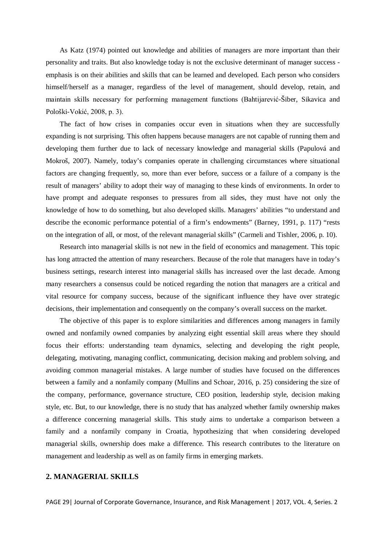As Katz (1974) pointed out knowledge and abilities of managers are more important than their personality and traits. But also knowledge today is not the exclusive determinant of manager success emphasis is on their abilities and skills that can be learned and developed. Each person who considers himself/herself as a manager, regardless of the level of management, should develop, retain, and maintain skills necessary for performing management functions (Bahtijarević-Šiber, Sikavica and Pološki-Vokić, 2008, p. 3).

The fact of how crises in companies occur even in situations when they are successfully expanding is not surprising. This often happens because managers are not capable of running them and developing them further due to lack of necessary knowledge and managerial skills (Papulová and Mokroš, 2007). Namely, today's companies operate in challenging circumstances where situational factors are changing frequently, so, more than ever before, success or a failure of a company is the result of managers' ability to adopt their way of managing to these kinds of environments. In order to have prompt and adequate responses to pressures from all sides, they must have not only the knowledge of how to do something, but also developed skills. Managers' abilities "to understand and describe the economic performance potential of a firm's endowments" (Barney, 1991, p. 117) "rests on the integration of all, or most, of the relevant managerial skills" (Carmeli and Tishler, 2006, p. 10).

Research into managerial skills is not new in the field of economics and management. This topic has long attracted the attention of many researchers. Because of the role that managers have in today's business settings, research interest into managerial skills has increased over the last decade. Among many researchers a consensus could be noticed regarding the notion that managers are a critical and vital resource for company success, because of the significant influence they have over strategic decisions, their implementation and consequently on the company's overall success on the market.

The objective of this paper is to explore similarities and differences among managers in family owned and nonfamily owned companies by analyzing eight essential skill areas where they should focus their efforts: understanding team dynamics, selecting and developing the right people, delegating, motivating, managing conflict, communicating, decision making and problem solving, and avoiding common managerial mistakes. A large number of studies have focused on the differences between a family and a nonfamily company (Mullins and Schoar, 2016, p. 25) considering the size of the company, performance, governance structure, CEO position, leadership style, decision making style, etc. But, to our knowledge, there is no study that has analyzed whether family ownership makes a difference concerning managerial skills. This study aims to undertake a comparison between a family and a nonfamily company in Croatia, hypothesizing that when considering developed managerial skills, ownership does make a difference. This research contributes to the literature on management and leadership as well as on family firms in emerging markets.

## **2. MANAGERIAL SKILLS**

PAGE 29| Journal of Corporate Governance, Insurance, and Risk Management | 2017, VOL. 4, Series. 2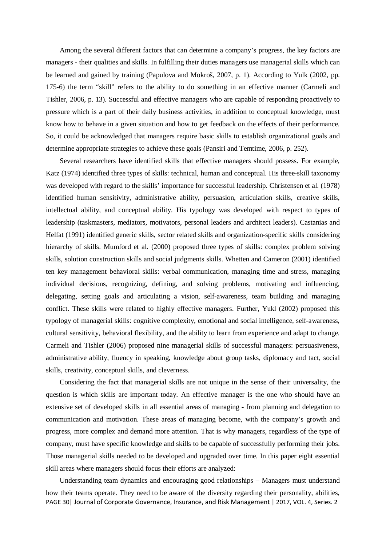Among the several different factors that can determine a company's progress, the key factors are managers - their qualities and skills. In fulfilling their duties managers use managerial skills which can be learned and gained by training (Papulova and Mokroš, 2007, p. 1). According to Yulk (2002, pp. 175-6) the term "skill" refers to the ability to do something in an effective manner (Carmeli and Tishler, 2006, p. 13). Successful and effective managers who are capable of responding proactively to pressure which is a part of their daily business activities, in addition to conceptual knowledge, must know how to behave in a given situation and how to get feedback on the effects of their performance. So, it could be acknowledged that managers require basic skills to establish organizational goals and determine appropriate strategies to achieve these goals (Pansiri and Temtime, 2006, p. 252).

Several researchers have identified skills that effective managers should possess. For example, Katz (1974) identified three types of skills: technical, human and conceptual. His three-skill taxonomy was developed with regard to the skills' importance for successful leadership. Christensen et al. (1978) identified human sensitivity, administrative ability, persuasion, articulation skills, creative skills, intellectual ability, and conceptual ability. His typology was developed with respect to types of leadership (taskmasters, mediators, motivators, personal leaders and architect leaders). Castanias and Helfat (1991) identified generic skills, sector related skills and organization-specific skills considering hierarchy of skills. Mumford et al. (2000) proposed three types of skills: complex problem solving skills, solution construction skills and social judgments skills. Whetten and Cameron (2001) identified ten key management behavioral skills: verbal communication, managing time and stress, managing individual decisions, recognizing, defining, and solving problems, motivating and influencing, delegating, setting goals and articulating a vision, self-awareness, team building and managing conflict. These skills were related to highly effective managers. Further, Yukl (2002) proposed this typology of managerial skills: cognitive complexity, emotional and social intelligence, self-awareness, cultural sensitivity, behavioral flexibility, and the ability to learn from experience and adapt to change. Carmeli and Tishler (2006) proposed nine managerial skills of successful managers: persuasiveness, administrative ability, fluency in speaking, knowledge about group tasks, diplomacy and tact, social skills, creativity, conceptual skills, and cleverness.

Considering the fact that managerial skills are not unique in the sense of their universality, the question is which skills are important today. An effective manager is the one who should have an extensive set of developed skills in all essential areas of managing - from planning and delegation to communication and motivation. These areas of managing become, with the company's growth and progress, more complex and demand more attention. That is why managers, regardless of the type of company, must have specific knowledge and skills to be capable of successfully performing their jobs. Those managerial skills needed to be developed and upgraded over time. In this paper eight essential skill areas where managers should focus their efforts are analyzed:

PAGE 30| Journal of Corporate Governance, Insurance, and Risk Management | 2017, VOL. 4, Series. 2 Understanding team dynamics and encouraging good relationships – Managers must understand how their teams operate. They need to be aware of the diversity regarding their personality, abilities,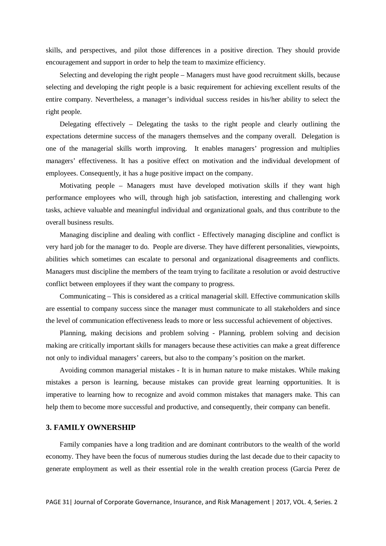skills, and perspectives, and pilot those differences in a positive direction. They should provide encouragement and support in order to help the team to maximize efficiency.

Selecting and developing the right people – Managers must have good recruitment skills, because selecting and developing the right people is a basic requirement for achieving excellent results of the entire company. Nevertheless, a manager's individual success resides in his/her ability to select the right people.

Delegating effectively – Delegating the tasks to the right people and clearly outlining the expectations determine success of the managers themselves and the company overall. Delegation is one of the managerial skills worth improving. It enables managers' progression and multiplies managers' effectiveness. It has a positive effect on motivation and the individual development of employees. Consequently, it has a huge positive impact on the company.

Motivating people – Managers must have developed motivation skills if they want high performance employees who will, through high job satisfaction, interesting and challenging work tasks, achieve valuable and meaningful individual and organizational goals, and thus contribute to the overall business results.

Managing discipline and dealing with conflict - Effectively managing discipline and conflict is very hard job for the manager to do. People are diverse. They have different personalities, viewpoints, abilities which sometimes can escalate to personal and organizational disagreements and conflicts. Managers must discipline the members of the team trying to facilitate a resolution or avoid destructive conflict between employees if they want the company to progress.

Communicating – This is considered as a critical managerial skill. Effective communication skills are essential to company success since the manager must communicate to all stakeholders and since the level of communication effectiveness leads to more or less successful achievement of objectives.

Planning, making decisions and problem solving - Planning, problem solving and decision making are critically important skills for managers because these activities can make a great difference not only to individual managers' careers, but also to the company's position on the market.

Avoiding common managerial mistakes - It is in human nature to make mistakes. While making mistakes a person is learning, because mistakes can provide great learning opportunities. It is imperative to learning how to recognize and avoid common mistakes that managers make. This can help them to become more successful and productive, and consequently, their company can benefit.

#### **3. FAMILY OWNERSHIP**

Family companies have a long tradition and are dominant contributors to the wealth of the world economy. They have been the focus of numerous studies during the last decade due to their capacity to generate employment as well as their essential role in the wealth creation process (Garcia Perez de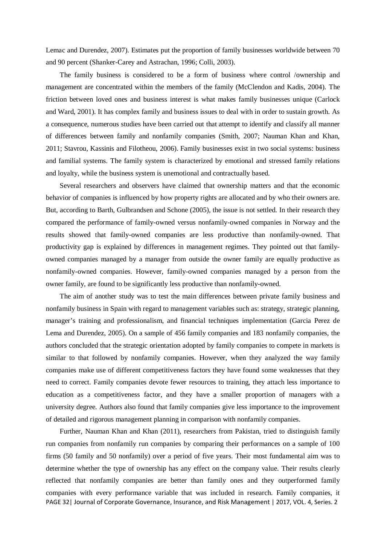Lemac and Durendez, 2007). Estimates put the proportion of family businesses worldwide between 70 and 90 percent (Shanker-Carey and Astrachan, 1996; Colli, 2003).

The family business is considered to be a form of business where control /ownership and management are concentrated within the members of the family (McClendon and Kadis, 2004). The friction between loved ones and business interest is what makes family businesses unique (Carlock and Ward, 2001). It has complex family and business issues to deal with in order to sustain growth. As a consequence, numerous studies have been carried out that attempt to identify and classify all manner of differences between family and nonfamily companies (Smith, 2007; Nauman Khan and Khan, 2011; Stavrou, Kassinis and Filotheou, 2006). Family businesses exist in two social systems: business and familial systems. The family system is characterized by emotional and stressed family relations and loyalty, while the business system is unemotional and contractually based.

Several researchers and observers have claimed that ownership matters and that the economic behavior of companies is influenced by how property rights are allocated and by who their owners are. But, according to Barth, Gulbrandsen and Schone (2005), the issue is not settled. In their research they compared the performance of family-owned versus nonfamily-owned companies in Norway and the results showed that family-owned companies are less productive than nonfamily-owned. That productivity gap is explained by differences in management regimes. They pointed out that familyowned companies managed by a manager from outside the owner family are equally productive as nonfamily-owned companies. However, family-owned companies managed by a person from the owner family, are found to be significantly less productive than nonfamily-owned.

The aim of another study was to test the main differences between private family business and nonfamily business in Spain with regard to management variables such as: strategy, strategic planning, manager's training and professionalism, and financial techniques implementation (Garcia Perez de Lema and Durendez, 2005). On a sample of 456 family companies and 183 nonfamily companies, the authors concluded that the strategic orientation adopted by family companies to compete in markets is similar to that followed by nonfamily companies. However, when they analyzed the way family companies make use of different competitiveness factors they have found some weaknesses that they need to correct. Family companies devote fewer resources to training, they attach less importance to education as a competitiveness factor, and they have a smaller proportion of managers with a university degree. Authors also found that family companies give less importance to the improvement of detailed and rigorous management planning in comparison with nonfamily companies.

PAGE 32| Journal of Corporate Governance, Insurance, and Risk Management | 2017, VOL. 4, Series. 2 Further, Nauman Khan and Khan (2011), researchers from Pakistan, tried to distinguish family run companies from nonfamily run companies by comparing their performances on a sample of 100 firms (50 family and 50 nonfamily) over a period of five years. Their most fundamental aim was to determine whether the type of ownership has any effect on the company value. Their results clearly reflected that nonfamily companies are better than family ones and they outperformed family companies with every performance variable that was included in research. Family companies, it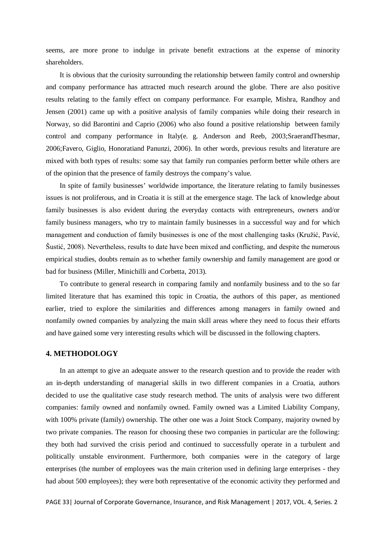seems, are more prone to indulge in private benefit extractions at the expense of minority shareholders.

It is obvious that the curiosity surrounding the relationship between family control and ownership and company performance has attracted much research around the globe. There are also positive results relating to the family effect on company performance. For example, Mishra, Randhoy and Jensen (2001) came up with a positive analysis of family companies while doing their research in Norway, so did Barontini and Caprio (2006) who also found a positive relationship between family control and company performance in Italy(e. g. Anderson and Reeb, 2003;SraerandThesmar, 2006;Favero, Giglio, Honoratiand Panunzi, 2006). In other words, previous results and literature are mixed with both types of results: some say that family run companies perform better while others are of the opinion that the presence of family destroys the company's value.

In spite of family businesses' worldwide importance, the literature relating to family businesses issues is not proliferous, and in Croatia it is still at the emergence stage. The lack of knowledge about family businesses is also evident during the everyday contacts with entrepreneurs, owners and/or family business managers, who try to maintain family businesses in a successful way and for which management and conduction of family businesses is one of the most challenging tasks (Kružić, Pavić, Šustić, 2008). Nevertheless, results to date have been mixed and conflicting, and despite the numerous empirical studies, doubts remain as to whether family ownership and family management are good or bad for business (Miller, Minichilli and Corbetta, 2013).

To contribute to general research in comparing family and nonfamily business and to the so far limited literature that has examined this topic in Croatia, the authors of this paper, as mentioned earlier, tried to explore the similarities and differences among managers in family owned and nonfamily owned companies by analyzing the main skill areas where they need to focus their efforts and have gained some very interesting results which will be discussed in the following chapters.

## **4. METHODOLOGY**

In an attempt to give an adequate answer to the research question and to provide the reader with an in-depth understanding of managerial skills in two different companies in a Croatia, authors decided to use the qualitative case study research method. The units of analysis were two different companies: family owned and nonfamily owned. Family owned was a Limited Liability Company, with 100% private (family) ownership. The other one was a Joint Stock Company, majority owned by two private companies. The reason for choosing these two companies in particular are the following: they both had survived the crisis period and continued to successfully operate in a turbulent and politically unstable environment. Furthermore, both companies were in the category of large enterprises (the number of employees was the main criterion used in defining large enterprises - they had about 500 employees); they were both representative of the economic activity they performed and

PAGE 33| Journal of Corporate Governance, Insurance, and Risk Management | 2017, VOL. 4, Series. 2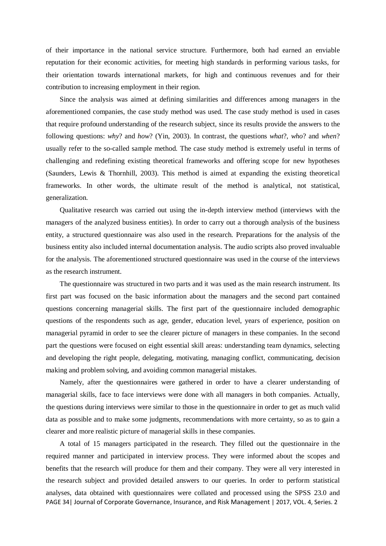of their importance in the national service structure. Furthermore, both had earned an enviable reputation for their economic activities, for meeting high standards in performing various tasks, for their orientation towards international markets, for high and continuous revenues and for their contribution to increasing employment in their region.

Since the analysis was aimed at defining similarities and differences among managers in the aforementioned companies, the case study method was used. The case study method is used in cases that require profound understanding of the research subject, since its results provide the answers to the following questions: *why*? and *how*? (Yin, 2003). In contrast, the questions *what*?, *who*? and *when*? usually refer to the so-called sample method. The case study method is extremely useful in terms of challenging and redefining existing theoretical frameworks and offering scope for new hypotheses (Saunders, Lewis & Thornhill, 2003). This method is aimed at expanding the existing theoretical frameworks. In other words, the ultimate result of the method is analytical, not statistical, generalization.

Qualitative research was carried out using the in-depth interview method (interviews with the managers of the analyzed business entities). In order to carry out a thorough analysis of the business entity, a structured questionnaire was also used in the research. Preparations for the analysis of the business entity also included internal documentation analysis. The audio scripts also proved invaluable for the analysis. The aforementioned structured questionnaire was used in the course of the interviews as the research instrument.

The questionnaire was structured in two parts and it was used as the main research instrument. Its first part was focused on the basic information about the managers and the second part contained questions concerning managerial skills. The first part of the questionnaire included demographic questions of the respondents such as age, gender, education level, years of experience, position on managerial pyramid in order to see the clearer picture of managers in these companies. In the second part the questions were focused on eight essential skill areas: understanding team dynamics, selecting and developing the right people, delegating, motivating, managing conflict, communicating, decision making and problem solving, and avoiding common managerial mistakes.

Namely, after the questionnaires were gathered in order to have a clearer understanding of managerial skills, face to face interviews were done with all managers in both companies. Actually, the questions during interviews were similar to those in the questionnaire in order to get as much valid data as possible and to make some judgments, recommendations with more certainty, so as to gain a clearer and more realistic picture of managerial skills in these companies.

PAGE 34| Journal of Corporate Governance, Insurance, and Risk Management | 2017, VOL. 4, Series. 2 A total of 15 managers participated in the research. They filled out the questionnaire in the required manner and participated in interview process. They were informed about the scopes and benefits that the research will produce for them and their company. They were all very interested in the research subject and provided detailed answers to our queries. In order to perform statistical analyses, data obtained with questionnaires were collated and processed using the SPSS 23.0 and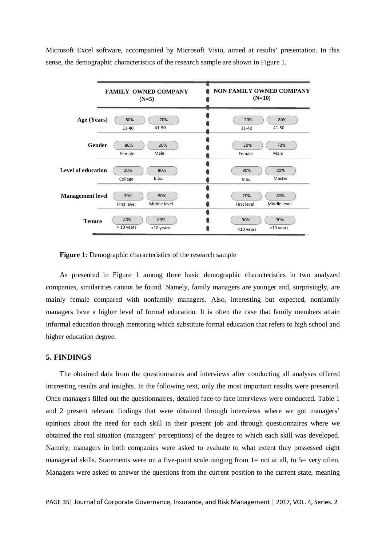Microsoft Excel software, accompanied by Microsoft Visio, aimed at results' presentation. In this sense, the demographic characteristics of the research sample are shown in Figure 1.



Figure 1: Demographic characteristics of the research sample

As presented in Figure 1 among three basic demographic characteristics in two analyzed companies, similarities cannot be found. Namely, family managers are younger and, surprisingly, are mainly female compared with nonfamily managers. Also, interesting but expected, nonfamily managers have a higher level of formal education. It is often the case that family members attain informal education through mentoring which substitute formal education that refers to high school and higher education degree.

#### **5. FINDINGS**

The obtained data from the questionnaires and interviews after conducting all analyses offered interesting results and insights. In the following text, only the most important results were presented. Once managers filled out the questionnaires, detailed face-to-face interviews were conducted. Table 1 and 2 present relevant findings that were obtained through interviews where we got managers' opinions about the need for each skill in their present job and through questionnaires where we obtained the real situation (managers' perceptions) of the degree to which each skill was developed. Namely, managers in both companies were asked to evaluate to what extent they possessed eight managerial skills. Statements were on a five-point scale ranging from 1= not at all, to 5= very often. Managers were asked to answer the questions from the current position to the current state, meaning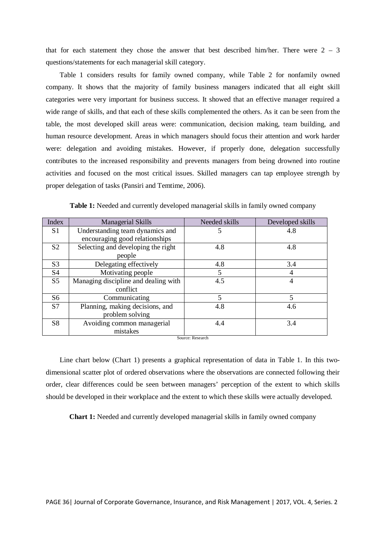that for each statement they chose the answer that best described him/her. There were  $2 - 3$ questions/statements for each managerial skill category.

Table 1 considers results for family owned company, while Table 2 for nonfamily owned company. It shows that the majority of family business managers indicated that all eight skill categories were very important for business success. It showed that an effective manager required a wide range of skills, and that each of these skills complemented the others. As it can be seen from the table, the most developed skill areas were: communication, decision making, team building, and human resource development. Areas in which managers should focus their attention and work harder were: delegation and avoiding mistakes. However, if properly done, delegation successfully contributes to the increased responsibility and prevents managers from being drowned into routine activities and focused on the most critical issues. Skilled managers can tap employee strength by proper delegation of tasks (Pansiri and Temtime, 2006).

| Index            | Managerial Skills                    | Needed skills | Developed skills |  |  |
|------------------|--------------------------------------|---------------|------------------|--|--|
| S <sub>1</sub>   | Understanding team dynamics and      | 5             | 4.8              |  |  |
|                  | encouraging good relationships       |               |                  |  |  |
| S <sub>2</sub>   | Selecting and developing the right   | 4.8           | 4.8              |  |  |
|                  | people                               |               |                  |  |  |
| S <sub>3</sub>   | Delegating effectively               | 4.8           | 3.4              |  |  |
| S <sub>4</sub>   | Motivating people                    | 5             | $\overline{4}$   |  |  |
| S <sub>5</sub>   | Managing discipline and dealing with | 4.5           | $\overline{4}$   |  |  |
|                  | conflict                             |               |                  |  |  |
| S <sub>6</sub>   | Communicating                        | 5             | 5                |  |  |
| S7               | Planning, making decisions, and      | 4.8           | 4.6              |  |  |
|                  | problem solving                      |               |                  |  |  |
| S <sub>8</sub>   | Avoiding common managerial           | 4.4           | 3.4              |  |  |
|                  | mistakes                             |               |                  |  |  |
| Source: Research |                                      |               |                  |  |  |

**Table 1:** Needed and currently developed managerial skills in family owned company

Line chart below (Chart 1) presents a graphical representation of data in Table 1. In this twodimensional scatter plot of ordered observations where the observations are connected following their order, clear differences could be seen between managers' perception of the extent to which skills should be developed in their workplace and the extent to which these skills were actually developed.

**Chart 1:** Needed and currently developed managerial skills in family owned company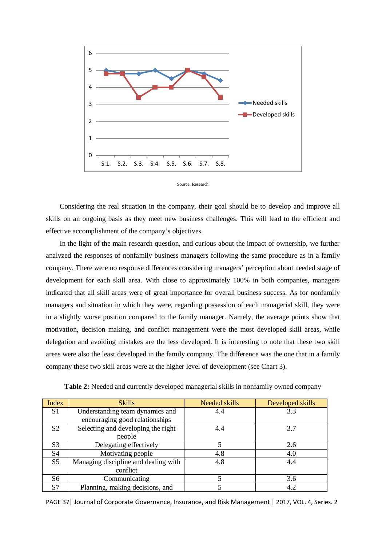



Considering the real situation in the company, their goal should be to develop and improve all skills on an ongoing basis as they meet new business challenges. This will lead to the efficient and effective accomplishment of the company's objectives.

In the light of the main research question, and curious about the impact of ownership, we further analyzed the responses of nonfamily business managers following the same procedure as in a family company. There were no response differences considering managers' perception about needed stage of development for each skill area. With close to approximately 100% in both companies, managers indicated that all skill areas were of great importance for overall business success. As for nonfamily managers and situation in which they were, regarding possession of each managerial skill, they were in a slightly worse position compared to the family manager. Namely, the average points show that motivation, decision making, and conflict management were the most developed skill areas, while delegation and avoiding mistakes are the less developed. It is interesting to note that these two skill areas were also the least developed in the family company. The difference was the one that in a family company these two skill areas were at the higher level of development (see Chart 3).

| Index          | <b>Skills</b>                        | Needed skills | Developed skills |
|----------------|--------------------------------------|---------------|------------------|
| S <sub>1</sub> | Understanding team dynamics and      | 4.4           | 3.3              |
|                | encouraging good relationships       |               |                  |
| S <sub>2</sub> | Selecting and developing the right   | 4.4           | 3.7              |
|                | people                               |               |                  |
| S <sub>3</sub> | Delegating effectively               |               | 2.6              |
| S4             | Motivating people                    | 4.8           | 4.0              |
| S <sub>5</sub> | Managing discipline and dealing with | 4.8           | 4.4              |
|                | conflict                             |               |                  |
| S <sub>6</sub> | Communicating                        |               | 3.6              |
| S7             | Planning, making decisions, and      |               | 4.2              |

**Table 2:** Needed and currently developed managerial skills in nonfamily owned company

PAGE 37| Journal of Corporate Governance, Insurance, and Risk Management | 2017, VOL. 4, Series. 2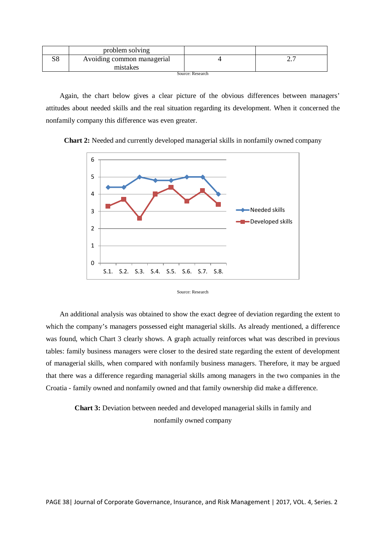|                  | problem solving                        |  |              |  |
|------------------|----------------------------------------|--|--------------|--|
| S8               | Avoiding common managerial<br>mistakes |  | <u>، ، ،</u> |  |
| Source: Research |                                        |  |              |  |

Again, the chart below gives a clear picture of the obvious differences between managers' attitudes about needed skills and the real situation regarding its development. When it concerned the nonfamily company this difference was even greater.





Source: Research

An additional analysis was obtained to show the exact degree of deviation regarding the extent to which the company's managers possessed eight managerial skills. As already mentioned, a difference was found, which Chart 3 clearly shows. A graph actually reinforces what was described in previous tables: family business managers were closer to the desired state regarding the extent of development of managerial skills, when compared with nonfamily business managers. Therefore, it may be argued that there was a difference regarding managerial skills among managers in the two companies in the Croatia - family owned and nonfamily owned and that family ownership did make a difference.

**Chart 3:** Deviation between needed and developed managerial skills in family and nonfamily owned company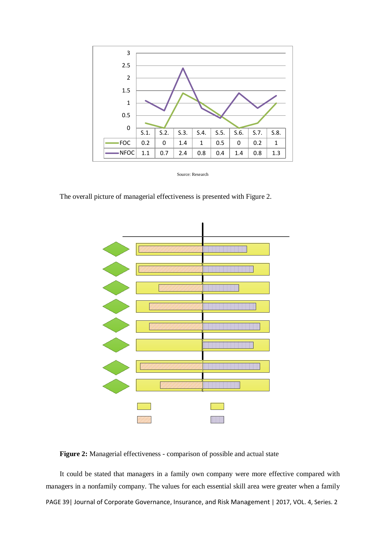

Source: Research

The overall picture of managerial effectiveness is presented with Figure 2.



**Figure 2:** Managerial effectiveness - comparison of possible and actual state

PAGE 39| Journal of Corporate Governance, Insurance, and Risk Management | 2017, VOL. 4, Series. 2 It could be stated that managers in a family own company were more effective compared with managers in a nonfamily company. The values for each essential skill area were greater when a family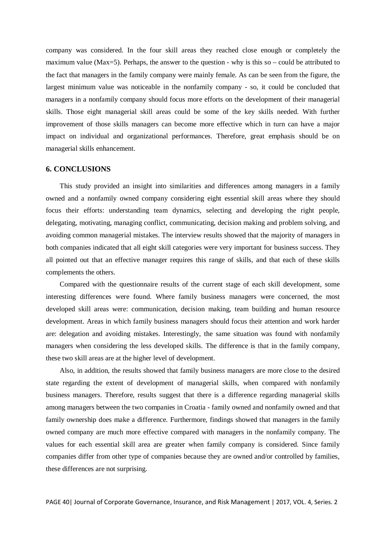company was considered. In the four skill areas they reached close enough or completely the maximum value (Max=5). Perhaps, the answer to the question - why is this so – could be attributed to the fact that managers in the family company were mainly female. As can be seen from the figure, the largest minimum value was noticeable in the nonfamily company - so, it could be concluded that managers in a nonfamily company should focus more efforts on the development of their managerial skills. Those eight managerial skill areas could be some of the key skills needed. With further improvement of those skills managers can become more effective which in turn can have a major impact on individual and organizational performances. Therefore, great emphasis should be on managerial skills enhancement.

### **6. CONCLUSIONS**

This study provided an insight into similarities and differences among managers in a family owned and a nonfamily owned company considering eight essential skill areas where they should focus their efforts: understanding team dynamics, selecting and developing the right people, delegating, motivating, managing conflict, communicating, decision making and problem solving, and avoiding common managerial mistakes. The interview results showed that the majority of managers in both companies indicated that all eight skill categories were very important for business success. They all pointed out that an effective manager requires this range of skills, and that each of these skills complements the others.

Compared with the questionnaire results of the current stage of each skill development, some interesting differences were found. Where family business managers were concerned, the most developed skill areas were: communication, decision making, team building and human resource development. Areas in which family business managers should focus their attention and work harder are: delegation and avoiding mistakes. Interestingly, the same situation was found with nonfamily managers when considering the less developed skills. The difference is that in the family company, these two skill areas are at the higher level of development.

Also, in addition, the results showed that family business managers are more close to the desired state regarding the extent of development of managerial skills, when compared with nonfamily business managers. Therefore, results suggest that there is a difference regarding managerial skills among managers between the two companies in Croatia - family owned and nonfamily owned and that family ownership does make a difference. Furthermore, findings showed that managers in the family owned company are much more effective compared with managers in the nonfamily company. The values for each essential skill area are greater when family company is considered. Since family companies differ from other type of companies because they are owned and/or controlled by families, these differences are not surprising.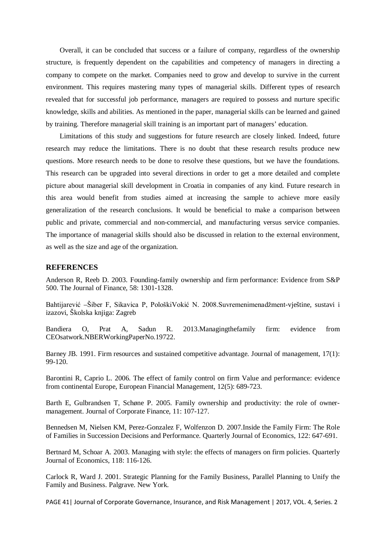Overall, it can be concluded that success or a failure of company, regardless of the ownership structure, is frequently dependent on the capabilities and competency of managers in directing a company to compete on the market. Companies need to grow and develop to survive in the current environment. This requires mastering many types of managerial skills. Different types of research revealed that for successful job performance, managers are required to possess and nurture specific knowledge, skills and abilities. As mentioned in the paper, managerial skills can be learned and gained by training. Therefore managerial skill training is an important part of managers' education.

Limitations of this study and suggestions for future research are closely linked. Indeed, future research may reduce the limitations. There is no doubt that these research results produce new questions. More research needs to be done to resolve these questions, but we have the foundations. This research can be upgraded into several directions in order to get a more detailed and complete picture about managerial skill development in Croatia in companies of any kind. Future research in this area would benefit from studies aimed at increasing the sample to achieve more easily generalization of the research conclusions. It would be beneficial to make a comparison between public and private, commercial and non-commercial, and manufacturing versus service companies. The importance of managerial skills should also be discussed in relation to the external environment, as well as the size and age of the organization.

### **REFERENCES**

Anderson R, Reeb D. 2003. Founding-family ownership and firm performance: Evidence from S&P 500. The Journal of Finance, 58: 1301-1328.

Bahtijarević –Šiber F, Sikavica P, PološkiVokić N. 2008.Suvremenimenadžment-vještine, sustavi i izazovi, Školska knjiga: Zagreb

Bandiera O, Prat A, Sadun R. 2013.Managingthefamily firm: evidence from CEOsatwork.NBERWorkingPaperNo.19722.

Barney JB. 1991. Firm resources and sustained competitive advantage. Journal of management, 17(1): 99-120.

Barontini R, Caprio L. 2006. The effect of family control on firm Value and performance: evidence from continental Europe, European Financial Management, 12(5): 689-723.

Barth E, Gulbrandsen T, Schøne P. 2005. Family ownership and productivity: the role of ownermanagement. Journal of Corporate Finance, 11: 107-127.

Bennedsen M, Nielsen KM, Perez-Gonzalez F, Wolfenzon D. 2007.Inside the Family Firm: The Role of Families in Succession Decisions and Performance. Quarterly Journal of Economics, 122: 647-691.

Bertnard M, Schoar A. 2003. Managing with style: the effects of managers on firm policies. Quarterly Journal of Economics, 118: 116-126.

Carlock R, Ward J. 2001. Strategic Planning for the Family Business, Parallel Planning to Unify the Family and Business. Palgrave. New York.

PAGE 41| Journal of Corporate Governance, Insurance, and Risk Management | 2017, VOL. 4, Series. 2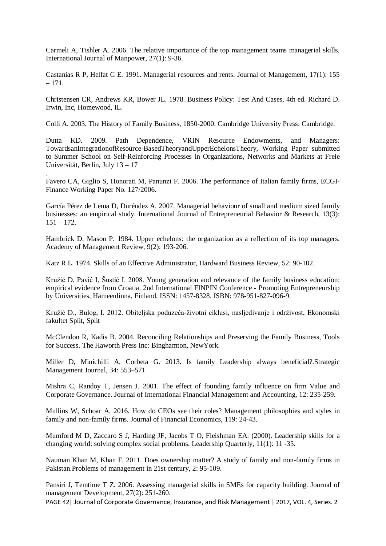Carmeli A, Tishler A. 2006. The relative importance of the top management teams managerial skills. International Journal of Manpower, 27(1): 9-36.

Castanias R P, Helfat C E. 1991. Managerial resources and rents. Journal of Management, 17(1): 155  $-171.$ 

Christensen CR, Andrews KR, Bower JL. 1978. Business Policy: Test And Cases, 4th ed. Richard D. Irwin, Inc, Homewood, IL.

Colli A. 2003. The History of Family Business, 1850-2000. Cambridge University Press: Cambridge.

Dutta KD. 2009. Path Dependence, VRIN Resource Endowments, and Managers: TowardsanIntegrationofResource-BasedTheoryandUpperEchelonsTheory, Working Paper submitted to Summer School on Self-Reinforcing Processes in Organizations, Networks and Markets at Freie Universität, Berlin, July 13 – 17

Favero CA, Giglio S, Honorati M, Panunzi F. 2006. The performance of Italian family firms, ECGI-Finance Working Paper No. 127/2006.

.

.

García Pérez de Lema D, Duréndez A. 2007. Managerial behaviour of small and medium sized family businesses: an empirical study. International Journal of Entrepreneurial Behavior & Research, 13(3):  $151 - 172.$ 

Hambrick D, Mason P. 1984. Upper echelons: the organization as a reflection of its top managers. Academy of Management Review, 9(2): 193-206.

Katz R L. 1974. Skills of an Effective Administrator, Hardward Business Review, 52: 90-102.

Kružić D, Pavić I, Šustić I. 2008. Young generation and relevance of the family business education: empirical evidence from Croatia. 2nd International FINPIN Conference - Promoting Entrepreneurship by Universities, Hämeenlinna, Finland. ISSN: 1457-8328. ISBN: 978-951-827-096-9.

Kružić D., Bulog, I. 2012. Obiteljska poduzeća-životni ciklusi, nasljeđivanje i održivost, Ekonomski fakultet Split, Split

McClendon R, Kadis B. 2004. Reconciling Relationships and Preserving the Family Business, Tools for Success. The Haworth Press Inc: Binghamton, NewYork.

Miller D, Minichilli A, Corbeta G. 2013. Is family Leadership always beneficial?.Strategic Management Journal, 34: 553–571

Mishra C, Randoy T, Jensen J. 2001. The effect of founding family influence on firm Value and Corporate Governance. Journal of International Financial Management and Accounting, 12: 235-259.

Mullins W, Schoar A. 2016. How do CEOs see their roles? Management philosophies and styles in family and non-family firms. Journal of Financial Economics, 119: 24-43.

Mumford M D, Zaccaro S J, Harding JF, Jacobs T O, Fleishman EA. (2000). Leadership skills for a changing world: solving complex social problems. Leadership Quarterly, 11(1): 11 -35.

Nauman Khan M, Khan F. 2011. Does ownership matter? A study of family and non-family firms in Pakistan.Problems of management in 21st century, 2: 95-109.

Pansiri J, Temtime T Z. 2006. Assessing managerial skills in SMEs for capacity building. Journal of management Development, 27(2): 251-260.

PAGE 42| Journal of Corporate Governance, Insurance, and Risk Management | 2017, VOL. 4, Series. 2